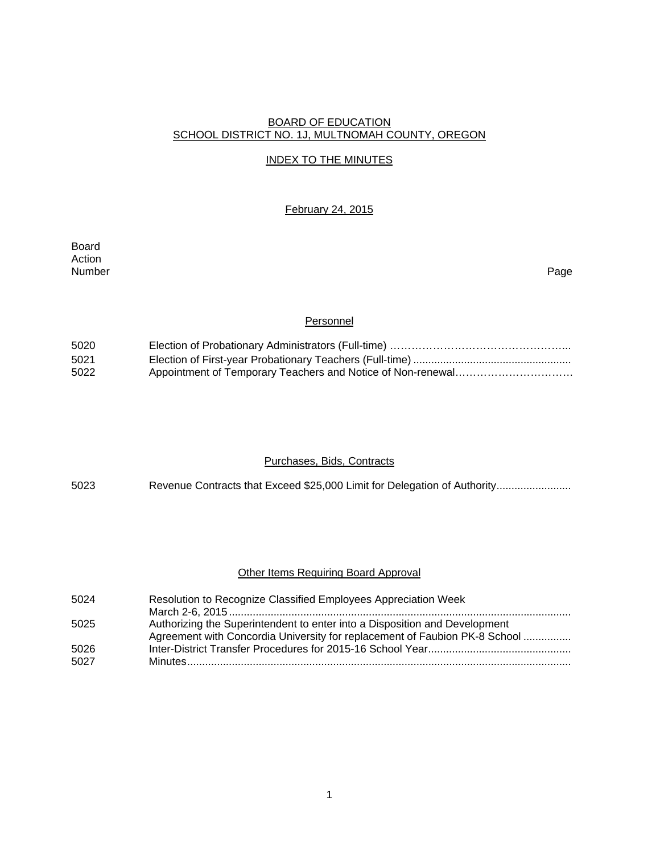### BOARD OF EDUCATION SCHOOL DISTRICT NO. 1J, MULTNOMAH COUNTY, OREGON

# INDEX TO THE MINUTES

### February 24, 2015

Board Action<br>Number Number Page

### Personnel

| 5020 |  |
|------|--|
| 5021 |  |
| 5022 |  |

#### Purchases, Bids, Contracts

5023 Revenue Contracts that Exceed \$25,000 Limit for Delegation of Authority........................

### Other Items Requiring Board Approval

| 5024 | Resolution to Recognize Classified Employees Appreciation Week             |
|------|----------------------------------------------------------------------------|
|      |                                                                            |
| 5025 | Authorizing the Superintendent to enter into a Disposition and Development |
|      | Agreement with Concordia University for replacement of Faubion PK-8 School |
| 5026 |                                                                            |
| 5027 |                                                                            |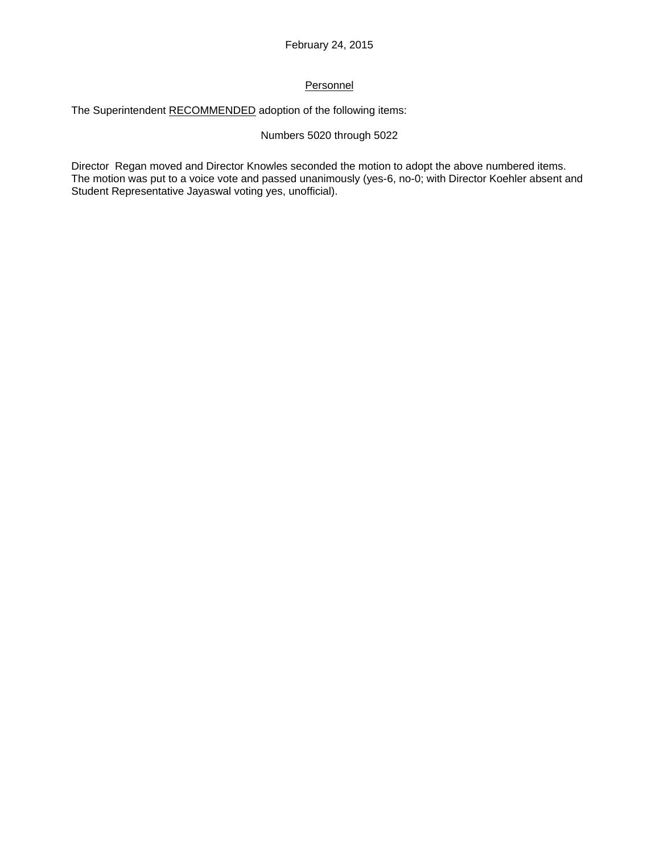# Personnel

The Superintendent RECOMMENDED adoption of the following items:

### Numbers 5020 through 5022

Director Regan moved and Director Knowles seconded the motion to adopt the above numbered items. The motion was put to a voice vote and passed unanimously (yes-6, no-0; with Director Koehler absent and Student Representative Jayaswal voting yes, unofficial).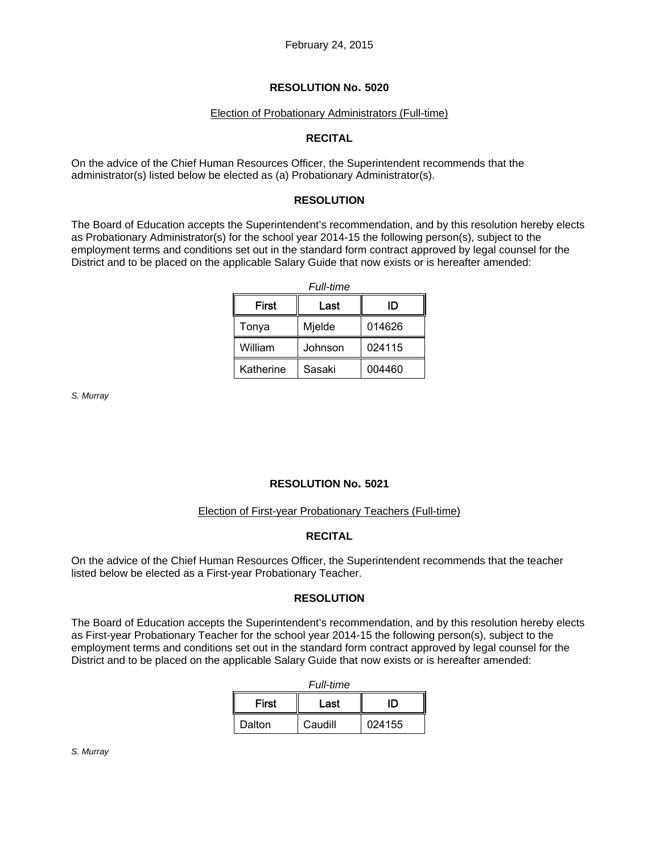### Election of Probationary Administrators (Full-time)

### **RECITAL**

On the advice of the Chief Human Resources Officer, the Superintendent recommends that the administrator(s) listed below be elected as (a) Probationary Administrator(s).

### **RESOLUTION**

The Board of Education accepts the Superintendent's recommendation, and by this resolution hereby elects as Probationary Administrator(s) for the school year 2014-15 the following person(s), subject to the employment terms and conditions set out in the standard form contract approved by legal counsel for the District and to be placed on the applicable Salary Guide that now exists or is hereafter amended:

| <i><b>Full-time</b></i> |         |        |  |
|-------------------------|---------|--------|--|
| <b>First</b>            | Last    | סו     |  |
| Tonya                   | Mjelde  | 014626 |  |
| William                 | Johnson | 024115 |  |
| Katherine               | Sasaki  | 004460 |  |

*S. Murray* 

### **RESOLUTION No. 5021**

#### Election of First-year Probationary Teachers (Full-time)

### **RECITAL**

On the advice of the Chief Human Resources Officer, the Superintendent recommends that the teacher listed below be elected as a First-year Probationary Teacher.

### **RESOLUTION**

The Board of Education accepts the Superintendent's recommendation, and by this resolution hereby elects as First-year Probationary Teacher for the school year 2014-15 the following person(s), subject to the employment terms and conditions set out in the standard form contract approved by legal counsel for the District and to be placed on the applicable Salary Guide that now exists or is hereafter amended:

| Full-time    |         |        |  |
|--------------|---------|--------|--|
| <b>First</b> | Last    | חו     |  |
| Dalton       | Caudill | 024155 |  |

*S. Murray*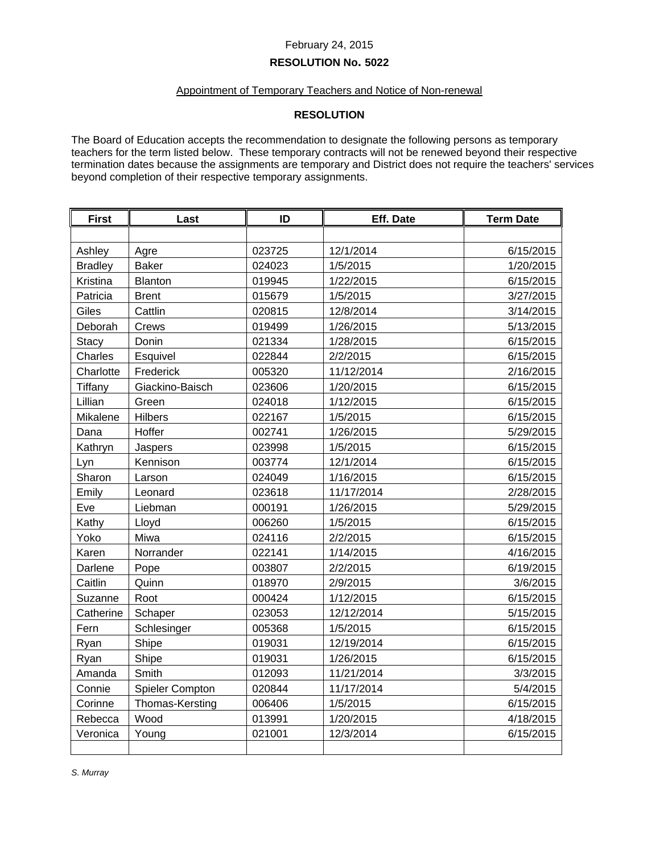#### February 24, 2015

### **RESOLUTION No. 5022**

# Appointment of Temporary Teachers and Notice of Non-renewal

# **RESOLUTION**

The Board of Education accepts the recommendation to designate the following persons as temporary teachers for the term listed below. These temporary contracts will not be renewed beyond their respective termination dates because the assignments are temporary and District does not require the teachers' services beyond completion of their respective temporary assignments.

| <b>First</b>   | Last            | ID     | <b>Eff. Date</b> | <b>Term Date</b> |
|----------------|-----------------|--------|------------------|------------------|
|                |                 |        |                  |                  |
| Ashley         | Agre            | 023725 | 12/1/2014        | 6/15/2015        |
| <b>Bradley</b> | <b>Baker</b>    | 024023 | 1/5/2015         | 1/20/2015        |
| Kristina       | <b>Blanton</b>  | 019945 | 1/22/2015        | 6/15/2015        |
| Patricia       | <b>Brent</b>    | 015679 | 1/5/2015         | 3/27/2015        |
| Giles          | Cattlin         | 020815 | 12/8/2014        | 3/14/2015        |
| Deborah        | Crews           | 019499 | 1/26/2015        | 5/13/2015        |
| <b>Stacy</b>   | Donin           | 021334 | 1/28/2015        | 6/15/2015        |
| Charles        | Esquivel        | 022844 | 2/2/2015         | 6/15/2015        |
| Charlotte      | Frederick       | 005320 | 11/12/2014       | 2/16/2015        |
| Tiffany        | Giackino-Baisch | 023606 | 1/20/2015        | 6/15/2015        |
| Lillian        | Green           | 024018 | 1/12/2015        | 6/15/2015        |
| Mikalene       | Hilbers         | 022167 | 1/5/2015         | 6/15/2015        |
| Dana           | Hoffer          | 002741 | 1/26/2015        | 5/29/2015        |
| Kathryn        | Jaspers         | 023998 | 1/5/2015         | 6/15/2015        |
| Lyn            | Kennison        | 003774 | 12/1/2014        | 6/15/2015        |
| Sharon         | Larson          | 024049 | 1/16/2015        | 6/15/2015        |
| Emily          | Leonard         | 023618 | 11/17/2014       | 2/28/2015        |
| Eve            | Liebman         | 000191 | 1/26/2015        | 5/29/2015        |
| Kathy          | Lloyd           | 006260 | 1/5/2015         | 6/15/2015        |
| Yoko           | Miwa            | 024116 | 2/2/2015         | 6/15/2015        |
| Karen          | Norrander       | 022141 | 1/14/2015        | 4/16/2015        |
| Darlene        | Pope            | 003807 | 2/2/2015         | 6/19/2015        |
| Caitlin        | Quinn           | 018970 | 2/9/2015         | 3/6/2015         |
| Suzanne        | Root            | 000424 | 1/12/2015        | 6/15/2015        |
| Catherine      | Schaper         | 023053 | 12/12/2014       | 5/15/2015        |
| Fern           | Schlesinger     | 005368 | 1/5/2015         | 6/15/2015        |
| Ryan           | Shipe           | 019031 | 12/19/2014       | 6/15/2015        |
| Ryan           | Shipe           | 019031 | 1/26/2015        | 6/15/2015        |
| Amanda         | Smith           | 012093 | 11/21/2014       | 3/3/2015         |
| Connie         | Spieler Compton | 020844 | 11/17/2014       | 5/4/2015         |
| Corinne        | Thomas-Kersting | 006406 | 1/5/2015         | 6/15/2015        |
| Rebecca        | Wood            | 013991 | 1/20/2015        | 4/18/2015        |
| Veronica       | Young           | 021001 | 12/3/2014        | 6/15/2015        |
|                |                 |        |                  |                  |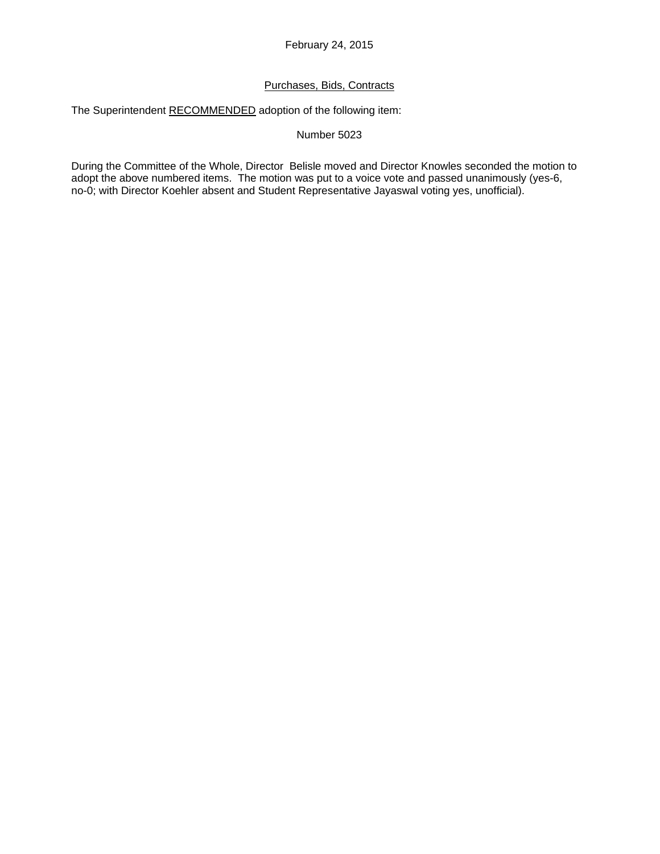# Purchases, Bids, Contracts

The Superintendent RECOMMENDED adoption of the following item:

### Number 5023

During the Committee of the Whole, Director Belisle moved and Director Knowles seconded the motion to adopt the above numbered items. The motion was put to a voice vote and passed unanimously (yes-6, no-0; with Director Koehler absent and Student Representative Jayaswal voting yes, unofficial).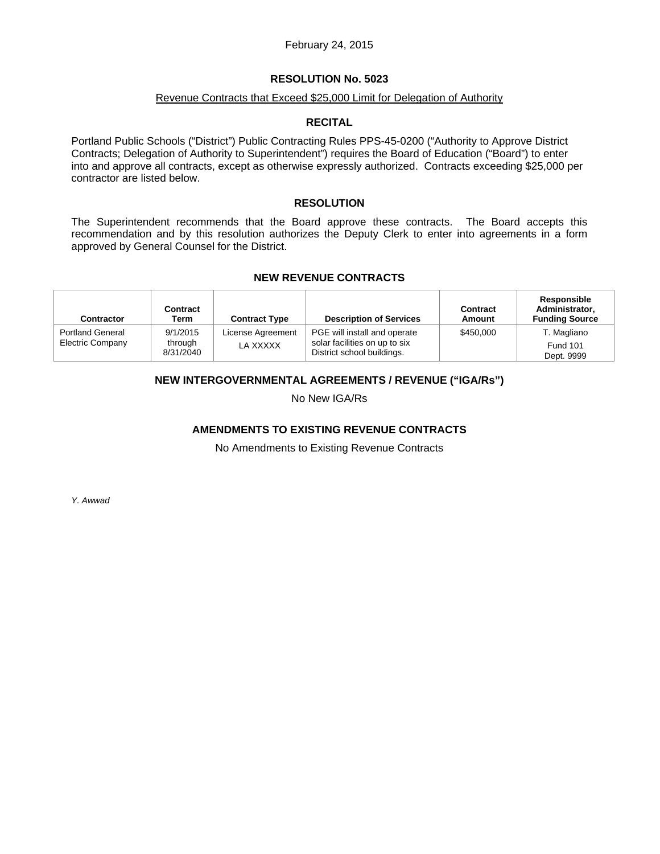### February 24, 2015

#### **RESOLUTION No. 5023**

#### Revenue Contracts that Exceed \$25,000 Limit for Delegation of Authority

#### **RECITAL**

Portland Public Schools ("District") Public Contracting Rules PPS-45-0200 ("Authority to Approve District Contracts; Delegation of Authority to Superintendent") requires the Board of Education ("Board") to enter into and approve all contracts, except as otherwise expressly authorized. Contracts exceeding \$25,000 per contractor are listed below.

#### **RESOLUTION**

The Superintendent recommends that the Board approve these contracts. The Board accepts this recommendation and by this resolution authorizes the Deputy Clerk to enter into agreements in a form approved by General Counsel for the District.

### **NEW REVENUE CONTRACTS**

| Contractor                                         | <b>Contract</b><br>Term          | <b>Contract Type</b>          | <b>Description of Services</b>                                                              | Contract<br>Amount | Responsible<br>Administrator,<br><b>Funding Source</b> |
|----------------------------------------------------|----------------------------------|-------------------------------|---------------------------------------------------------------------------------------------|--------------------|--------------------------------------------------------|
| <b>Portland General</b><br><b>Electric Company</b> | 9/1/2015<br>through<br>8/31/2040 | License Agreement<br>LA XXXXX | PGE will install and operate<br>solar facilities on up to six<br>District school buildings. | \$450,000          | T. Magliano<br><b>Fund 101</b><br>Dept. 9999           |

### **NEW INTERGOVERNMENTAL AGREEMENTS / REVENUE ("IGA/Rs")**

No New IGA/Rs

# **AMENDMENTS TO EXISTING REVENUE CONTRACTS**

No Amendments to Existing Revenue Contracts

*Y. Awwad*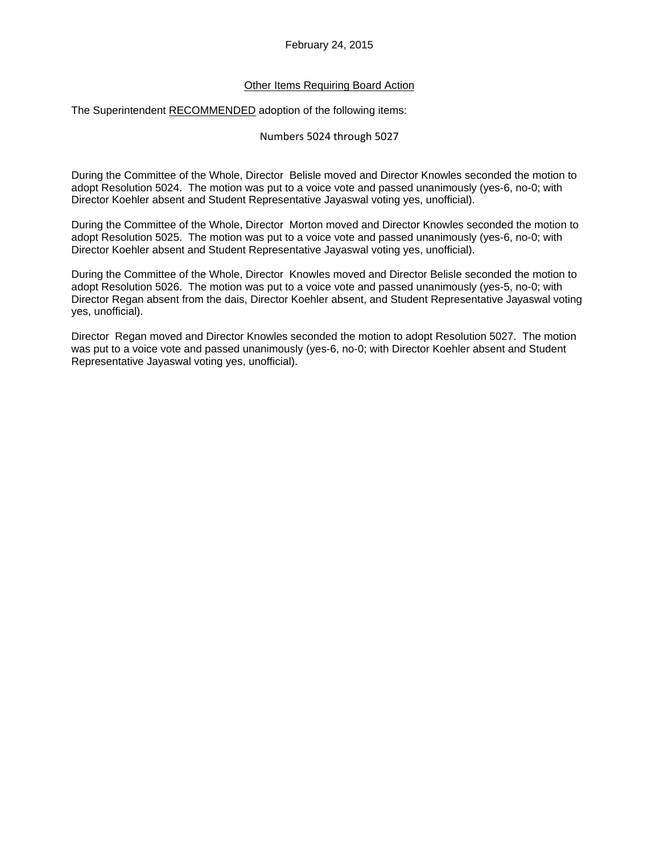### Other Items Requiring Board Action

The Superintendent RECOMMENDED adoption of the following items:

### Numbers 5024 through 5027

During the Committee of the Whole, Director Belisle moved and Director Knowles seconded the motion to adopt Resolution 5024. The motion was put to a voice vote and passed unanimously (yes-6, no-0; with Director Koehler absent and Student Representative Jayaswal voting yes, unofficial).

During the Committee of the Whole, Director Morton moved and Director Knowles seconded the motion to adopt Resolution 5025. The motion was put to a voice vote and passed unanimously (yes-6, no-0; with Director Koehler absent and Student Representative Jayaswal voting yes, unofficial).

During the Committee of the Whole, Director Knowles moved and Director Belisle seconded the motion to adopt Resolution 5026. The motion was put to a voice vote and passed unanimously (yes-5, no-0; with Director Regan absent from the dais, Director Koehler absent, and Student Representative Jayaswal voting yes, unofficial).

Director Regan moved and Director Knowles seconded the motion to adopt Resolution 5027. The motion was put to a voice vote and passed unanimously (yes-6, no-0; with Director Koehler absent and Student Representative Jayaswal voting yes, unofficial).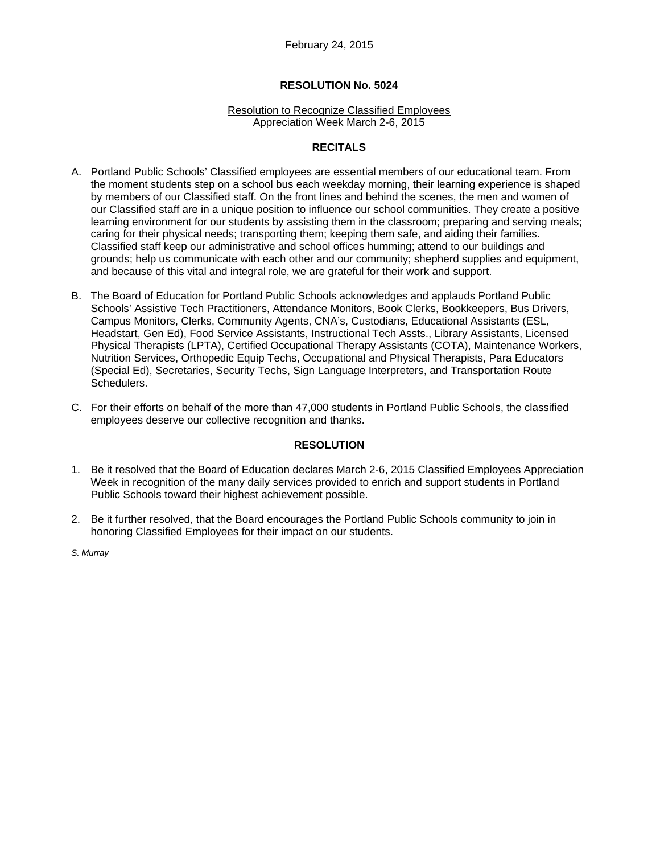#### Resolution to Recognize Classified Employees Appreciation Week March 2-6, 2015

### **RECITALS**

- A. Portland Public Schools' Classified employees are essential members of our educational team. From the moment students step on a school bus each weekday morning, their learning experience is shaped by members of our Classified staff. On the front lines and behind the scenes, the men and women of our Classified staff are in a unique position to influence our school communities. They create a positive learning environment for our students by assisting them in the classroom; preparing and serving meals; caring for their physical needs; transporting them; keeping them safe, and aiding their families. Classified staff keep our administrative and school offices humming; attend to our buildings and grounds; help us communicate with each other and our community; shepherd supplies and equipment, and because of this vital and integral role, we are grateful for their work and support.
- B. The Board of Education for Portland Public Schools acknowledges and applauds Portland Public Schools' Assistive Tech Practitioners, Attendance Monitors, Book Clerks, Bookkeepers, Bus Drivers, Campus Monitors, Clerks, Community Agents, CNA's, Custodians, Educational Assistants (ESL, Headstart, Gen Ed), Food Service Assistants, Instructional Tech Assts., Library Assistants, Licensed Physical Therapists (LPTA), Certified Occupational Therapy Assistants (COTA), Maintenance Workers, Nutrition Services, Orthopedic Equip Techs, Occupational and Physical Therapists, Para Educators (Special Ed), Secretaries, Security Techs, Sign Language Interpreters, and Transportation Route Schedulers.
- C. For their efforts on behalf of the more than 47,000 students in Portland Public Schools, the classified employees deserve our collective recognition and thanks.

#### **RESOLUTION**

- 1. Be it resolved that the Board of Education declares March 2-6, 2015 Classified Employees Appreciation Week in recognition of the many daily services provided to enrich and support students in Portland Public Schools toward their highest achievement possible.
- 2. Be it further resolved, that the Board encourages the Portland Public Schools community to join in honoring Classified Employees for their impact on our students.
- *S. Murray*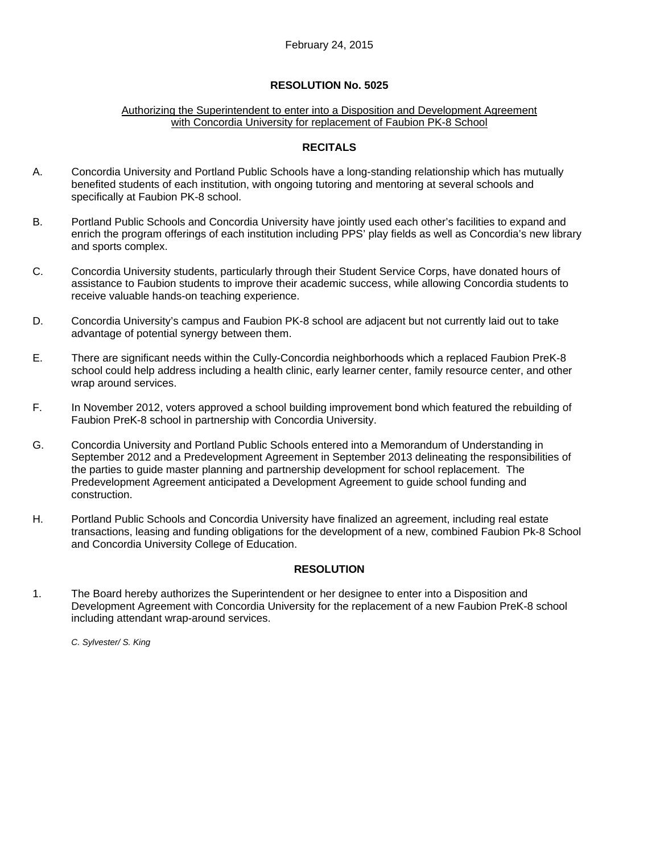#### Authorizing the Superintendent to enter into a Disposition and Development Agreement with Concordia University for replacement of Faubion PK-8 School

### **RECITALS**

- A. Concordia University and Portland Public Schools have a long-standing relationship which has mutually benefited students of each institution, with ongoing tutoring and mentoring at several schools and specifically at Faubion PK-8 school.
- B. Portland Public Schools and Concordia University have jointly used each other's facilities to expand and enrich the program offerings of each institution including PPS' play fields as well as Concordia's new library and sports complex.
- C. Concordia University students, particularly through their Student Service Corps, have donated hours of assistance to Faubion students to improve their academic success, while allowing Concordia students to receive valuable hands-on teaching experience.
- D. Concordia University's campus and Faubion PK-8 school are adjacent but not currently laid out to take advantage of potential synergy between them.
- E. There are significant needs within the Cully-Concordia neighborhoods which a replaced Faubion PreK-8 school could help address including a health clinic, early learner center, family resource center, and other wrap around services.
- F. In November 2012, voters approved a school building improvement bond which featured the rebuilding of Faubion PreK-8 school in partnership with Concordia University.
- G. Concordia University and Portland Public Schools entered into a Memorandum of Understanding in September 2012 and a Predevelopment Agreement in September 2013 delineating the responsibilities of the parties to guide master planning and partnership development for school replacement. The Predevelopment Agreement anticipated a Development Agreement to guide school funding and construction.
- H. Portland Public Schools and Concordia University have finalized an agreement, including real estate transactions, leasing and funding obligations for the development of a new, combined Faubion Pk-8 School and Concordia University College of Education.

### **RESOLUTION**

1. The Board hereby authorizes the Superintendent or her designee to enter into a Disposition and Development Agreement with Concordia University for the replacement of a new Faubion PreK-8 school including attendant wrap-around services.

*C. Sylvester/ S. King*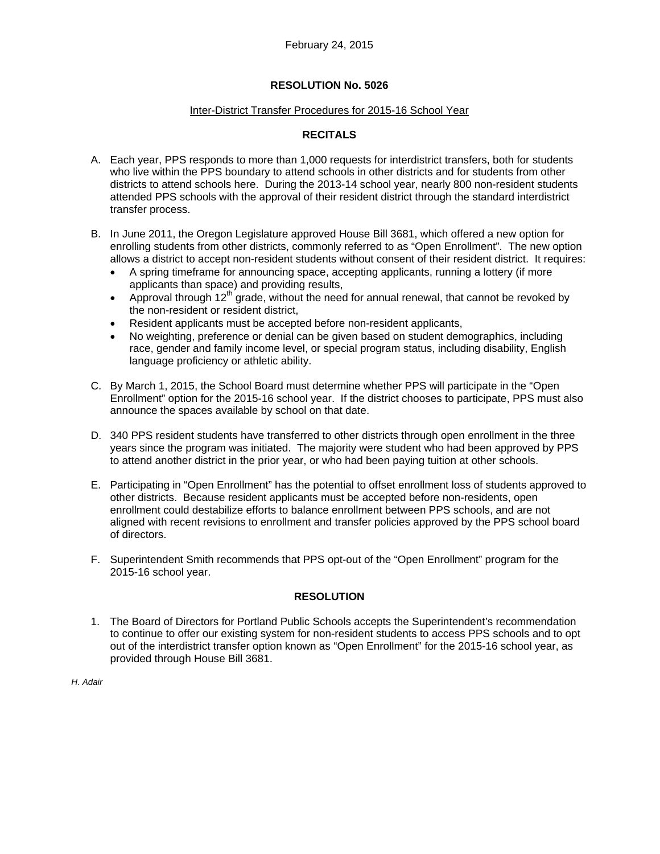#### Inter-District Transfer Procedures for 2015-16 School Year

# **RECITALS**

- A. Each year, PPS responds to more than 1,000 requests for interdistrict transfers, both for students who live within the PPS boundary to attend schools in other districts and for students from other districts to attend schools here. During the 2013-14 school year, nearly 800 non-resident students attended PPS schools with the approval of their resident district through the standard interdistrict transfer process.
- B. In June 2011, the Oregon Legislature approved House Bill 3681, which offered a new option for enrolling students from other districts, commonly referred to as "Open Enrollment". The new option allows a district to accept non-resident students without consent of their resident district. It requires:
	- A spring timeframe for announcing space, accepting applicants, running a lottery (if more applicants than space) and providing results,
	- Approval through  $12^{th}$  grade, without the need for annual renewal, that cannot be revoked by the non-resident or resident district,
	- Resident applicants must be accepted before non-resident applicants,
	- No weighting, preference or denial can be given based on student demographics, including race, gender and family income level, or special program status, including disability, English language proficiency or athletic ability.
- C. By March 1, 2015, the School Board must determine whether PPS will participate in the "Open Enrollment" option for the 2015-16 school year. If the district chooses to participate, PPS must also announce the spaces available by school on that date.
- D. 340 PPS resident students have transferred to other districts through open enrollment in the three years since the program was initiated. The majority were student who had been approved by PPS to attend another district in the prior year, or who had been paying tuition at other schools.
- E. Participating in "Open Enrollment" has the potential to offset enrollment loss of students approved to other districts. Because resident applicants must be accepted before non-residents, open enrollment could destabilize efforts to balance enrollment between PPS schools, and are not aligned with recent revisions to enrollment and transfer policies approved by the PPS school board of directors.
- F. Superintendent Smith recommends that PPS opt-out of the "Open Enrollment" program for the 2015-16 school year.

### **RESOLUTION**

1. The Board of Directors for Portland Public Schools accepts the Superintendent's recommendation to continue to offer our existing system for non-resident students to access PPS schools and to opt out of the interdistrict transfer option known as "Open Enrollment" for the 2015-16 school year, as provided through House Bill 3681.

*H. Adair*